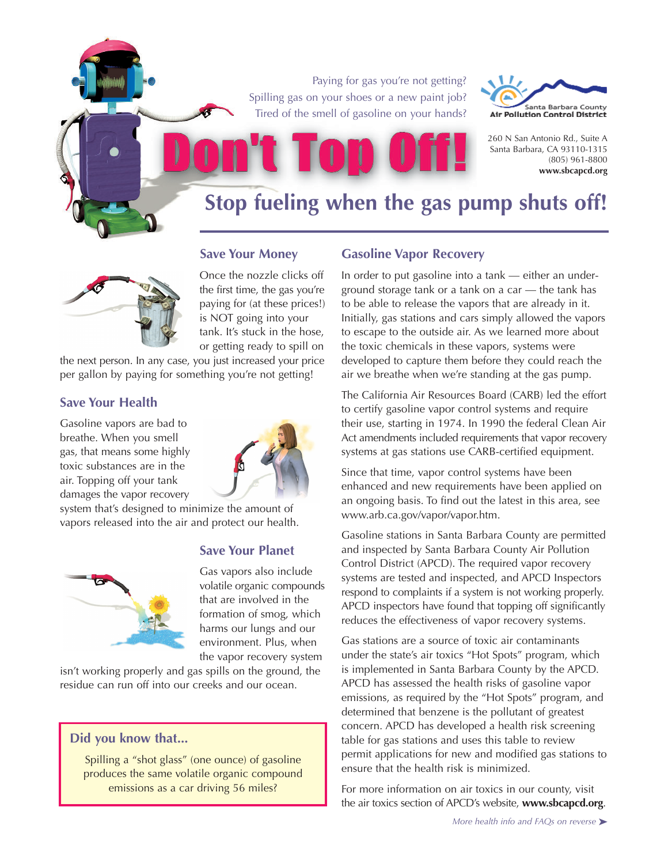Paying for gas you're not getting? Spilling gas on your shoes or a new paint job? Tired of the smell of gasoline on your hands?



260 N San Antonio Rd., Suite A Santa Barbara, CA 93110-1315 (805) 961-8800 **www.sbcapcd.org**

## **Stop fueling when the gas pump shuts off!**



**Save Your Money** Once the nozzle clicks off

the first time, the gas you're paying for (at these prices!) is NOT going into your tank. It's stuck in the hose, or getting ready to spill on

the next person. In any case, you just increased your price per gallon by paying for something you're not getting!

## **Save Your Health**

Gasoline vapors are bad to breathe. When you smell gas, that means some highly toxic substances are in the air. Topping off your tank damages the vapor recovery



system that's designed to minimize the amount of vapors released into the air and protect our health.



## **Save Your Planet**

Gas vapors also include volatile organic compounds that are involved in the formation of smog, which harms our lungs and our environment. Plus, when the vapor recovery system

isn't working properly and gas spills on the ground, the residue can run off into our creeks and our ocean.

## **Did you know that...**

Spilling a "shot glass" (one ounce) of gasoline produces the same volatile organic compound emissions as a car driving 56 miles?

## **Gasoline Vapor Recovery**

In order to put gasoline into a tank — either an underground storage tank or a tank on a car — the tank has to be able to release the vapors that are already in it. Initially, gas stations and cars simply allowed the vapors to escape to the outside air. As we learned more about the toxic chemicals in these vapors, systems were developed to capture them before they could reach the air we breathe when we're standing at the gas pump.

The California Air Resources Board (CARB) led the effort to certify gasoline vapor control systems and require their use, starting in 1974. In 1990 the federal Clean Air Act amendments included requirements that vapor recovery systems at gas stations use CARB-certified equipment.

Since that time, vapor control systems have been enhanced and new requirements have been applied on an ongoing basis. To find out the latest in this area, see www.arb.ca.gov/vapor/vapor.htm.

Gasoline stations in Santa Barbara County are permitted and inspected by Santa Barbara County Air Pollution Control District (APCD). The required vapor recovery systems are tested and inspected, and APCD Inspectors respond to complaints if a system is not working properly. APCD inspectors have found that topping off significantly reduces the effectiveness of vapor recovery systems.

Gas stations are a source of toxic air contaminants under the state's air toxics "Hot Spots" program, which is implemented in Santa Barbara County by the APCD. APCD has assessed the health risks of gasoline vapor emissions, as required by the "Hot Spots" program, and determined that benzene is the pollutant of greatest concern. APCD has developed a health risk screening table for gas stations and uses this table to review permit applications for new and modified gas stations to ensure that the health risk is minimized.

For more information on air toxics in our county, visit the air toxics section of APCD's website, **www.sbcapcd.org**.